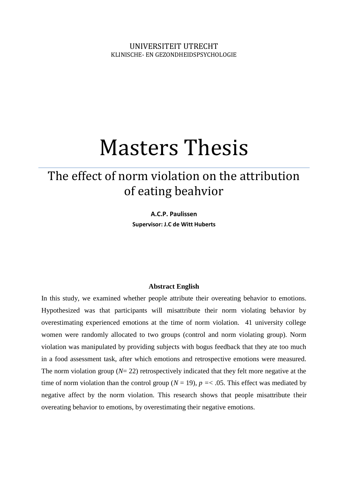# Masters Thesis

# The effect of norm violation on the attribution of eating beahvior

**A.C.P. Paulissen Supervisor: J.C de Witt Huberts**

#### **Abstract English**

In this study, we examined whether people attribute their overeating behavior to emotions. Hypothesized was that participants will misattribute their norm violating behavior by overestimating experienced emotions at the time of norm violation. 41 university college women were randomly allocated to two groups (control and norm violating group). Norm violation was manipulated by providing subjects with bogus feedback that they ate too much in a food assessment task, after which emotions and retrospective emotions were measured. The norm violation group ( $N= 22$ ) retrospectively indicated that they felt more negative at the time of norm violation than the control group ( $N = 19$ ),  $p = < .05$ . This effect was mediated by negative affect by the norm violation. This research shows that people misattribute their overeating behavior to emotions, by overestimating their negative emotions.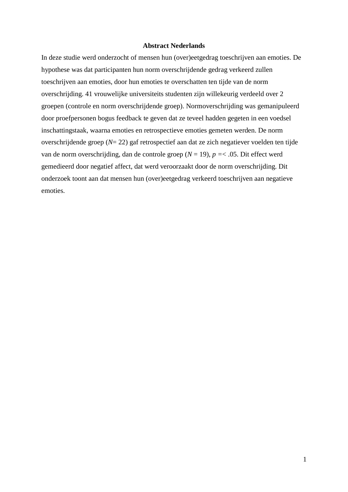## **Abstract Nederlands**

In deze studie werd onderzocht of mensen hun (over)eetgedrag toeschrijven aan emoties. De hypothese was dat participanten hun norm overschrijdende gedrag verkeerd zullen toeschrijven aan emoties, door hun emoties te overschatten ten tijde van de norm overschrijding. 41 vrouwelijke universiteits studenten zijn willekeurig verdeeld over 2 groepen (controle en norm overschrijdende groep). Normoverschrijding was gemanipuleerd door proefpersonen bogus feedback te geven dat ze teveel hadden gegeten in een voedsel inschattingstaak, waarna emoties en retrospectieve emoties gemeten werden. De norm overschrijdende groep (*N*= 22) gaf retrospectief aan dat ze zich negatiever voelden ten tijde van de norm overschrijding, dan de controle groep (*N* = 19), *p =*< .05. Dit effect werd gemedieerd door negatief affect, dat werd veroorzaakt door de norm overschrijding. Dit onderzoek toont aan dat mensen hun (over)eetgedrag verkeerd toeschrijven aan negatieve emoties.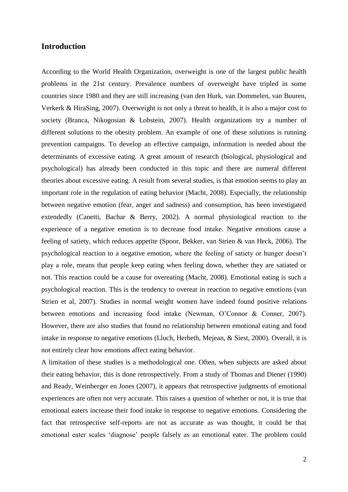# **Introduction**

According to the World Health Organization, overweight is one of the largest public health problems in the 21st century. Prevalence numbers of overweight have tripled in some countries since 1980 and they are still increasing (van den Hurk, van Dommelen, van Buuren, Verkerk & HiraSing, 2007). Overweight is not only a threat to health, it is also a major cost to society (Branca, Nikogosian & Lobstein, 2007). Health organizations try a number of different solutions to the obesity problem. An example of one of these solutions is running prevention campaigns. To develop an effective campaign, information is needed about the determinants of excessive eating. A great amount of research (biological, physiological and psychological) has already been conducted in this topic and there are numeral different theories about excessive eating. A result from several studies, is that emotion seems to play an important role in the regulation of eating behavior (Macht, 2008). Especially, the relationship between negative emotion (fear, anger and sadness) and consumption, has been investigated extendedly (Canetti, Bachar & Berry, 2002). A normal physiological reaction to the experience of a negative emotion is to decrease food intake. Negative emotions cause a feeling of satiety, which reduces appetite (Spoor, Bekker, van Strien & van Heck, 2006). The psychological reaction to a negative emotion, where the feeling of satiety or hunger doesn't play a role, means that people keep eating when feeling down, whether they are satiated or not. This reaction could be a cause for overeating (Macht, 2008). Emotional eating is such a psychological reaction. This is the tendency to overeat in reaction to negative emotions (van Strien et al, 2007). Studies in normal weight women have indeed found positive relations between emotions and increasing food intake (Newman, O'Connor & Conner, 2007). However, there are also studies that found no relationship between emotional eating and food intake in response to negative emotions (Lluch, Herbeth, Mejean, & Siest, 2000). Overall, it is not entirely clear how emotions affect eating behavior.

A limitation of these studies is a methodological one. Often, when subjects are asked about their eating behavior, this is done retrospectively. From a study of Thomas and Diener (1990) and Ready, Weinberger en Jones (2007), it appears that retrospective judgments of emotional experiences are often not very accurate. This raises a question of whether or not, it is true that emotional eaters increase their food intake in response to negative emotions. Considering the fact that retrospective self-reports are not as accurate as was thought, it could be that emotional eater scales 'diagnose' people falsely as an emotional eater. The problem could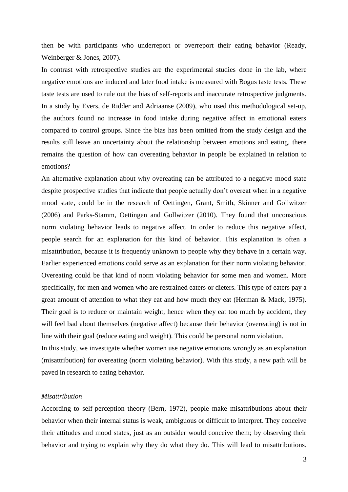then be with participants who underreport or overreport their eating behavior (Ready, Weinberger & Jones, 2007).

In contrast with retrospective studies are the experimental studies done in the lab, where negative emotions are induced and later food intake is measured with Bogus taste tests. These taste tests are used to rule out the bias of self-reports and inaccurate retrospective judgments. In a study by Evers, de Ridder and Adriaanse (2009), who used this methodological set-up, the authors found no increase in food intake during negative affect in emotional eaters compared to control groups. Since the bias has been omitted from the study design and the results still leave an uncertainty about the relationship between emotions and eating, there remains the question of how can overeating behavior in people be explained in relation to emotions?

An alternative explanation about why overeating can be attributed to a negative mood state despite prospective studies that indicate that people actually don't overeat when in a negative mood state, could be in the research of Oettingen, Grant, Smith, Skinner and Gollwitzer (2006) and Parks-Stamm, Oettingen and Gollwitzer (2010). They found that unconscious norm violating behavior leads to negative affect. In order to reduce this negative affect, people search for an explanation for this kind of behavior. This explanation is often a misattribution, because it is frequently unknown to people why they behave in a certain way. Earlier experienced emotions could serve as an explanation for their norm violating behavior. Overeating could be that kind of norm violating behavior for some men and women. More specifically, for men and women who are restrained eaters or dieters. This type of eaters pay a great amount of attention to what they eat and how much they eat (Herman & Mack, 1975). Their goal is to reduce or maintain weight, hence when they eat too much by accident, they will feel bad about themselves (negative affect) because their behavior (overeating) is not in line with their goal (reduce eating and weight). This could be personal norm violation.

In this study, we investigate whether women use negative emotions wrongly as an explanation (misattribution) for overeating (norm violating behavior). With this study, a new path will be paved in research to eating behavior.

# *Misattribution*

According to self-perception theory (Bern, 1972), people make misattributions about their behavior when their internal status is weak, ambiguous or difficult to interpret. They conceive their attitudes and mood states, just as an outsider would conceive them; by observing their behavior and trying to explain why they do what they do. This will lead to misattributions.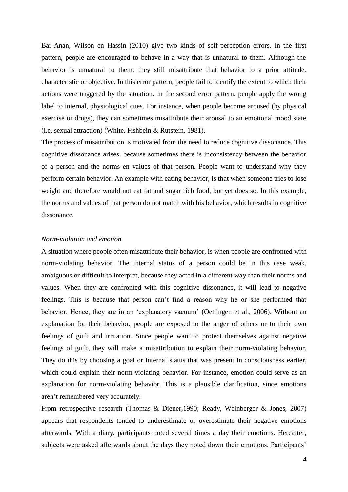Bar-Anan, Wilson en Hassin (2010) give two kinds of self-perception errors. In the first pattern, people are encouraged to behave in a way that is unnatural to them. Although the behavior is unnatural to them, they still misattribute that behavior to a prior attitude, characteristic or objective. In this error pattern, people fail to identify the extent to which their actions were triggered by the situation. In the second error pattern, people apply the wrong label to internal, physiological cues. For instance, when people become aroused (by physical exercise or drugs), they can sometimes misattribute their arousal to an emotional mood state (i.e. sexual attraction) (White, Fishbein & Rutstein, 1981).

The process of misattribution is motivated from the need to reduce cognitive dissonance. This cognitive dissonance arises, because sometimes there is inconsistency between the behavior of a person and the norms en values of that person. People want to understand why they perform certain behavior. An example with eating behavior, is that when someone tries to lose weight and therefore would not eat fat and sugar rich food, but yet does so. In this example, the norms and values of that person do not match with his behavior, which results in cognitive dissonance.

#### *Norm-violation and emotion*

A situation where people often misattribute their behavior, is when people are confronted with norm-violating behavior. The internal status of a person could be in this case weak, ambiguous or difficult to interpret, because they acted in a different way than their norms and values. When they are confronted with this cognitive dissonance, it will lead to negative feelings. This is because that person can't find a reason why he or she performed that behavior. Hence, they are in an 'explanatory vacuum' (Oettingen et al., 2006). Without an explanation for their behavior, people are exposed to the anger of others or to their own feelings of guilt and irritation. Since people want to protect themselves against negative feelings of guilt, they will make a misattribution to explain their norm-violating behavior. They do this by choosing a goal or internal status that was present in consciousness earlier, which could explain their norm-violating behavior. For instance, emotion could serve as an explanation for norm-violating behavior. This is a plausible clarification, since emotions aren't remembered very accurately.

From retrospective research (Thomas & Diener,1990; Ready, Weinberger & Jones, 2007) appears that respondents tended to underestimate or overestimate their negative emotions afterwards. With a diary, participants noted several times a day their emotions. Hereafter, subjects were asked afterwards about the days they noted down their emotions. Participants'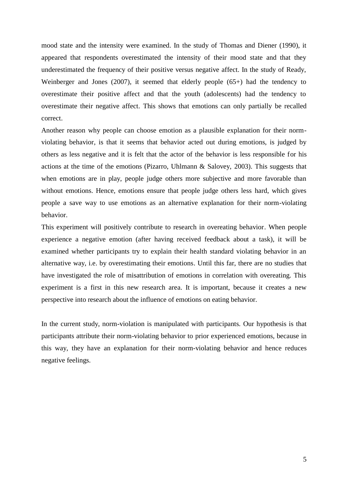mood state and the intensity were examined. In the study of Thomas and Diener (1990), it appeared that respondents overestimated the intensity of their mood state and that they underestimated the frequency of their positive versus negative affect. In the study of Ready, Weinberger and Jones (2007), it seemed that elderly people (65+) had the tendency to overestimate their positive affect and that the youth (adolescents) had the tendency to overestimate their negative affect. This shows that emotions can only partially be recalled correct.

Another reason why people can choose emotion as a plausible explanation for their normviolating behavior, is that it seems that behavior acted out during emotions, is judged by others as less negative and it is felt that the actor of the behavior is less responsible for his actions at the time of the emotions (Pizarro, Uhlmann & Salovey, 2003). This suggests that when emotions are in play, people judge others more subjective and more favorable than without emotions. Hence, emotions ensure that people judge others less hard, which gives people a save way to use emotions as an alternative explanation for their norm-violating behavior.

This experiment will positively contribute to research in overeating behavior. When people experience a negative emotion (after having received feedback about a task), it will be examined whether participants try to explain their health standard violating behavior in an alternative way, i.e. by overestimating their emotions. Until this far, there are no studies that have investigated the role of misattribution of emotions in correlation with overeating. This experiment is a first in this new research area. It is important, because it creates a new perspective into research about the influence of emotions on eating behavior.

In the current study, norm-violation is manipulated with participants. Our hypothesis is that participants attribute their norm-violating behavior to prior experienced emotions, because in this way, they have an explanation for their norm-violating behavior and hence reduces negative feelings.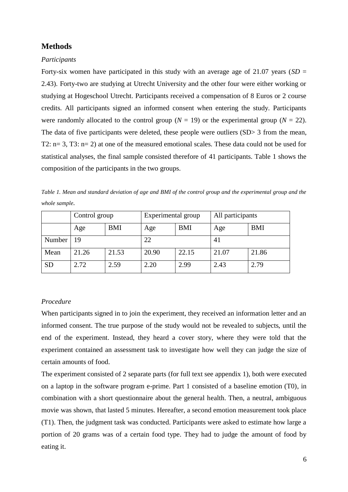# **Methods**

# *Participants*

Forty-six women have participated in this study with an average age of 21.07 years (*SD* = 2.43). Forty-two are studying at Utrecht University and the other four were either working or studying at Hogeschool Utrecht. Participants received a compensation of 8 Euros or 2 course credits. All participants signed an informed consent when entering the study. Participants were randomly allocated to the control group ( $N = 19$ ) or the experimental group ( $N = 22$ ). The data of five participants were deleted, these people were outliers (SD> 3 from the mean, T2: n= 3, T3: n= 2) at one of the measured emotional scales. These data could not be used for statistical analyses, the final sample consisted therefore of 41 participants. Table 1 shows the composition of the participants in the two groups.

|           | Control group |            | Experimental group |            | All participants |            |
|-----------|---------------|------------|--------------------|------------|------------------|------------|
|           | Age           | <b>BMI</b> | Age                | <b>BMI</b> | Age              | <b>BMI</b> |
| Number    | 19            |            | 22                 |            | 41               |            |
| Mean      | 21.26         | 21.53      | 20.90              | 22.15      | 21.07            | 21.86      |
| <b>SD</b> | 2.72          | 2.59       | 2.20               | 2.99       | 2.43             | 2.79       |

*Table 1. Mean and standard deviation of age and BMI of the control group and the experimental group and the whole sample.*

# *Procedure*

When participants signed in to join the experiment, they received an information letter and an informed consent. The true purpose of the study would not be revealed to subjects, until the end of the experiment. Instead, they heard a cover story, where they were told that the experiment contained an assessment task to investigate how well they can judge the size of certain amounts of food.

The experiment consisted of 2 separate parts (for full text see appendix 1), both were executed on a laptop in the software program e-prime. Part 1 consisted of a baseline emotion (T0), in combination with a short questionnaire about the general health. Then, a neutral, ambiguous movie was shown, that lasted 5 minutes. Hereafter, a second emotion measurement took place (T1). Then, the judgment task was conducted. Participants were asked to estimate how large a portion of 20 grams was of a certain food type. They had to judge the amount of food by eating it.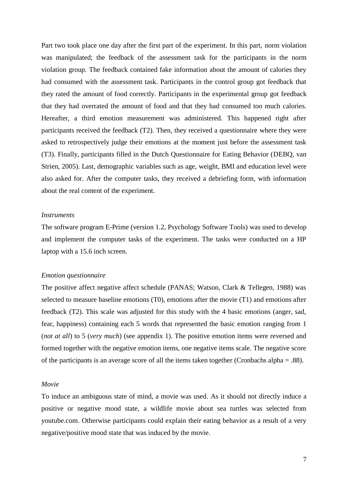Part two took place one day after the first part of the experiment. In this part, norm violation was manipulated; the feedback of the assessment task for the participants in the norm violation group. The feedback contained fake information about the amount of calories they had consumed with the assessment task. Participants in the control group got feedback that they rated the amount of food correctly. Participants in the experimental group got feedback that they had overrated the amount of food and that they had consumed too much calories. Hereafter, a third emotion measurement was administered. This happened right after participants received the feedback (T2). Then, they received a questionnaire where they were asked to retrospectively judge their emotions at the moment just before the assessment task (T3). Finally, participants filled in the Dutch Questionnaire for Eating Behavior (DEBQ, van Strien, 2005). Last, demographic variables such as age, weight, BMI and education level were also asked for. After the computer tasks, they received a debriefing form, with information about the real content of the experiment.

#### *Instruments*

The software program E-Prime (version 1.2, Psychology Software Tools) was used to develop and implement the computer tasks of the experiment. The tasks were conducted on a HP laptop with a 15.6 inch screen.

#### *Emotion questionnaire*

The positive affect negative affect schedule (PANAS; Watson, Clark & Tellegen, 1988) was selected to measure baseline emotions (T0), emotions after the movie (T1) and emotions after feedback (T2). This scale was adjusted for this study with the 4 basic emotions (anger, sad, fear, happiness) containing each 5 words that represented the basic emotion ranging from 1 (*not at all*) to 5 (*very much*) (see appendix 1). The positive emotion items were reversed and formed together with the negative emotion items, one negative items scale. The negative score of the participants is an average score of all the items taken together (Cronbachs alpha = .88).

#### *Movie*

To induce an ambiguous state of mind, a movie was used. As it should not directly induce a positive or negative mood state, a wildlife movie about sea turtles was selected from youtube.com. Otherwise participants could explain their eating behavior as a result of a very negative/positive mood state that was induced by the movie.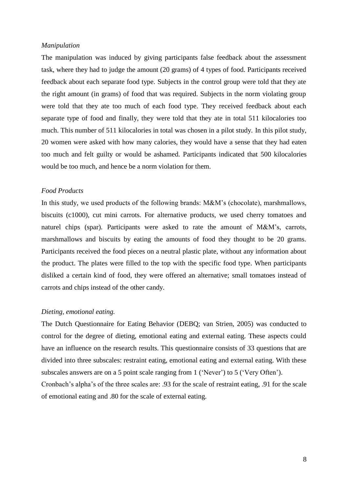#### *Manipulation*

The manipulation was induced by giving participants false feedback about the assessment task, where they had to judge the amount (20 grams) of 4 types of food. Participants received feedback about each separate food type. Subjects in the control group were told that they ate the right amount (in grams) of food that was required. Subjects in the norm violating group were told that they ate too much of each food type. They received feedback about each separate type of food and finally, they were told that they ate in total 511 kilocalories too much. This number of 511 kilocalories in total was chosen in a pilot study. In this pilot study, 20 women were asked with how many calories, they would have a sense that they had eaten too much and felt guilty or would be ashamed. Participants indicated that 500 kilocalories would be too much, and hence be a norm violation for them.

# *Food Products*

In this study, we used products of the following brands: M&M's (chocolate), marshmallows, biscuits (c1000), cut mini carrots. For alternative products, we used cherry tomatoes and naturel chips (spar). Participants were asked to rate the amount of M&M's, carrots, marshmallows and biscuits by eating the amounts of food they thought to be 20 grams. Participants received the food pieces on a neutral plastic plate, without any information about the product. The plates were filled to the top with the specific food type. When participants disliked a certain kind of food, they were offered an alternative; small tomatoes instead of carrots and chips instead of the other candy.

#### *Dieting, emotional eating.*

The Dutch Questionnaire for Eating Behavior (DEBQ; van Strien, 2005) was conducted to control for the degree of dieting, emotional eating and external eating. These aspects could have an influence on the research results. This questionnaire consists of 33 questions that are divided into three subscales: restraint eating, emotional eating and external eating. With these subscales answers are on a 5 point scale ranging from 1 ('Never') to 5 ('Very Often').

Cronbach's alpha's of the three scales are: .93 for the scale of restraint eating, .91 for the scale of emotional eating and .80 for the scale of external eating.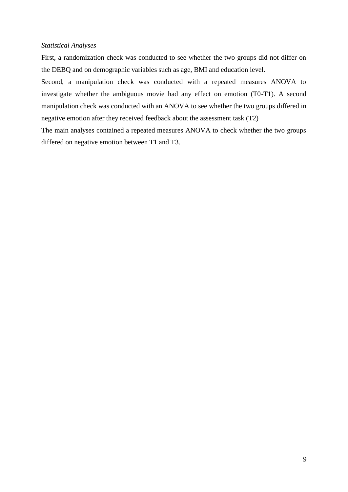# *Statistical Analyses*

First, a randomization check was conducted to see whether the two groups did not differ on the DEBQ and on demographic variables such as age, BMI and education level.

Second, a manipulation check was conducted with a repeated measures ANOVA to investigate whether the ambiguous movie had any effect on emotion (T0-T1). A second manipulation check was conducted with an ANOVA to see whether the two groups differed in negative emotion after they received feedback about the assessment task (T2)

The main analyses contained a repeated measures ANOVA to check whether the two groups differed on negative emotion between T1 and T3.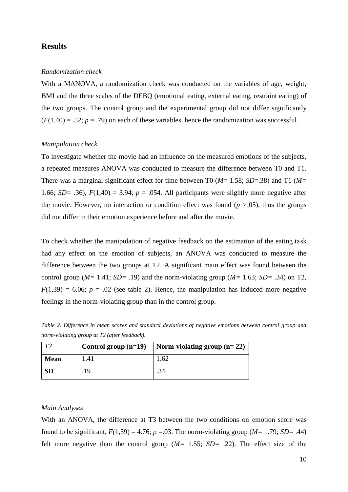# **Results**

#### *Randomization check*

With a MANOVA, a randomization check was conducted on the variables of age, weight, BMI and the three scales of the DEBQ (emotional eating, external eating, restraint eating) of the two groups. The control group and the experimental group did not differ significantly  $(F(1,40) = .52; p = .79)$  on each of these variables, hence the randomization was successful.

#### *Manipulation check*

To investigate whether the movie had an influence on the measured emotions of the subjects, a repeated measures ANOVA was conducted to measure the difference between T0 and T1. There was a marginal significant effect for time between T0 (*M*= 1.58; *SD*=.38) and T1 (*M=* 1.66; *SD*= .36),  $F(1,40) = 3.94$ ;  $p = .054$ . All participants were slightly more negative after the movie. However, no interaction or condition effect was found  $(p > .05)$ , thus the groups did not differ in their emotion experience before and after the movie.

To check whether the manipulation of negative feedback on the estimation of the eating task had any effect on the emotion of subjects, an ANOVA was conducted to measure the difference between the two groups at T2. A significant main effect was found between the control group (*M=* 1.41; *SD=* .19) and the norm-violating group (*M=* 1.63; *SD=* .34) on T2,  $F(1,39) = 6.06$ ;  $p = .02$  (see table 2). Hence, the manipulation has induced more negative feelings in the norm-violating group than in the control group.

*Table 2. Difference in mean scores and standard deviations of negative emotions between control group and norm-violating group at T2 (after feedback).* 

| $\mathbf{T}$ | Control group $(n=19)$ | Norm-violating group $(n=22)$ |
|--------------|------------------------|-------------------------------|
| <b>Mean</b>  | $\lfloor .41 \rfloor$  | .62                           |
| <b>SD</b>    | 19                     |                               |

#### *Main Analyses*

With an ANOVA, the difference at T3 between the two conditions on emotion score was found to be significant,  $F(1,39) = 4.76$ ;  $p = .03$ . The norm-violating group ( $M=1.79$ ;  $SD= .44$ ) felt more negative than the control group (*M=* 1.55; *SD=* .22). The effect size of the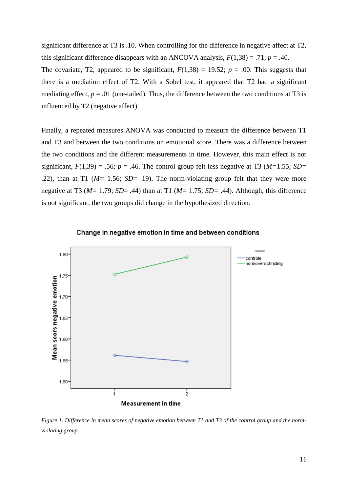significant difference at T3 is .10. When controlling for the difference in negative affect at T2, this significant difference disappears with an ANCOVA analysis,  $F(1,38) = .71$ ;  $p = .40$ .

The covariate, T2, appeared to be significant,  $F(1,38) = 19.52$ ;  $p = .00$ . This suggests that there is a mediation effect of T2. With a Sobel test, it appeared that T2 had a significant mediating effect,  $p = .01$  (one-tailed). Thus, the difference between the two conditions at T3 is influenced by T2 (negative affect).

Finally, a repeated measures ANOVA was conducted to measure the difference between T1 and T3 and between the two conditions on emotional score. There was a difference between the two conditions and the different measurements in time. However, this main effect is not significant,  $F(1,39) = .56$ ;  $p = .46$ . The control group felt less negative at T3 ( $M=1.55$ ;  $SD=$ .22), than at T1 (*M=* 1.56; *SD*= .19). The norm-violating group felt that they were more negative at T3 (*M=* 1.79; *SD*= .44) than at T1 (*M=* 1.75; *SD=* .44). Although, this difference is not significant, the two groups did change in the hypothesized direction.





*Figure 1. Difference in mean scores of negative emotion between T1 and T3 of the control group and the normviolating group.*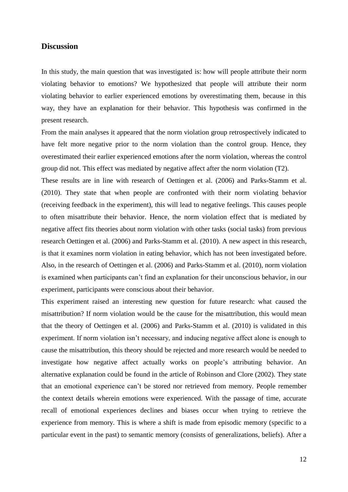# **Discussion**

In this study, the main question that was investigated is: how will people attribute their norm violating behavior to emotions? We hypothesized that people will attribute their norm violating behavior to earlier experienced emotions by overestimating them, because in this way, they have an explanation for their behavior. This hypothesis was confirmed in the present research.

From the main analyses it appeared that the norm violation group retrospectively indicated to have felt more negative prior to the norm violation than the control group. Hence, they overestimated their earlier experienced emotions after the norm violation, whereas the control group did not. This effect was mediated by negative affect after the norm violation (T2).

These results are in line with research of Oettingen et al. (2006) and Parks-Stamm et al. (2010). They state that when people are confronted with their norm violating behavior (receiving feedback in the experiment), this will lead to negative feelings. This causes people to often misattribute their behavior. Hence, the norm violation effect that is mediated by negative affect fits theories about norm violation with other tasks (social tasks) from previous research Oettingen et al. (2006) and Parks-Stamm et al. (2010). A new aspect in this research, is that it examines norm violation in eating behavior, which has not been investigated before. Also, in the research of Oettingen et al. (2006) and Parks-Stamm et al. (2010), norm violation is examined when participants can't find an explanation for their unconscious behavior, in our experiment, participants were conscious about their behavior.

This experiment raised an interesting new question for future research: what caused the misattribution? If norm violation would be the cause for the misattribution, this would mean that the theory of Oettingen et al. (2006) and Parks-Stamm et al. (2010) is validated in this experiment. If norm violation isn't necessary, and inducing negative affect alone is enough to cause the misattribution, this theory should be rejected and more research would be needed to investigate how negative affect actually works on people's attributing behavior. An alternative explanation could be found in the article of Robinson and Clore (2002). They state that an emotional experience can't be stored nor retrieved from memory. People remember the context details wherein emotions were experienced. With the passage of time, accurate recall of emotional experiences declines and biases occur when trying to retrieve the experience from memory. This is where a shift is made from episodic memory (specific to a particular event in the past) to semantic memory (consists of generalizations, beliefs). After a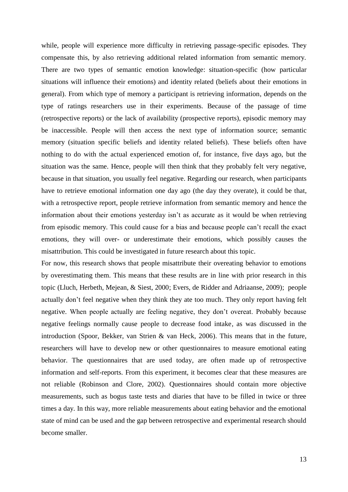while, people will experience more difficulty in retrieving passage-specific episodes. They compensate this, by also retrieving additional related information from semantic memory. There are two types of semantic emotion knowledge: situation-specific (how particular situations will influence their emotions) and identity related (beliefs about their emotions in general). From which type of memory a participant is retrieving information, depends on the type of ratings researchers use in their experiments. Because of the passage of time (retrospective reports) or the lack of availability (prospective reports), episodic memory may be inaccessible. People will then access the next type of information source; semantic memory (situation specific beliefs and identity related beliefs). These beliefs often have nothing to do with the actual experienced emotion of, for instance, five days ago, but the situation was the same. Hence, people will then think that they probably felt very negative, because in that situation, you usually feel negative. Regarding our research, when participants have to retrieve emotional information one day ago (the day they overate), it could be that, with a retrospective report, people retrieve information from semantic memory and hence the information about their emotions yesterday isn't as accurate as it would be when retrieving from episodic memory. This could cause for a bias and because people can't recall the exact emotions, they will over- or underestimate their emotions, which possibly causes the misattribution. This could be investigated in future research about this topic.

For now, this research shows that people misattribute their overeating behavior to emotions by overestimating them. This means that these results are in line with prior research in this topic (Lluch, Herbeth, Mejean, & Siest, 2000; Evers, de Ridder and Adriaanse, 2009); people actually don't feel negative when they think they ate too much. They only report having felt negative. When people actually are feeling negative, they don't overeat. Probably because negative feelings normally cause people to decrease food intake, as was discussed in the introduction (Spoor, Bekker, van Strien & van Heck, 2006). This means that in the future, researchers will have to develop new or other questionnaires to measure emotional eating behavior. The questionnaires that are used today, are often made up of retrospective information and self-reports. From this experiment, it becomes clear that these measures are not reliable (Robinson and Clore, 2002). Questionnaires should contain more objective measurements, such as bogus taste tests and diaries that have to be filled in twice or three times a day. In this way, more reliable measurements about eating behavior and the emotional state of mind can be used and the gap between retrospective and experimental research should become smaller.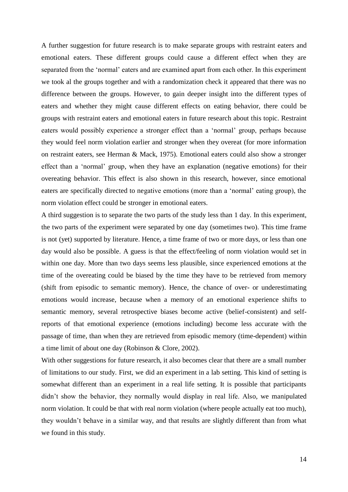A further suggestion for future research is to make separate groups with restraint eaters and emotional eaters. These different groups could cause a different effect when they are separated from the 'normal' eaters and are examined apart from each other. In this experiment we took al the groups together and with a randomization check it appeared that there was no difference between the groups. However, to gain deeper insight into the different types of eaters and whether they might cause different effects on eating behavior, there could be groups with restraint eaters and emotional eaters in future research about this topic. Restraint eaters would possibly experience a stronger effect than a 'normal' group, perhaps because they would feel norm violation earlier and stronger when they overeat (for more information on restraint eaters, see Herman & Mack, 1975). Emotional eaters could also show a stronger effect than a 'normal' group, when they have an explanation (negative emotions) for their overeating behavior. This effect is also shown in this research, however, since emotional eaters are specifically directed to negative emotions (more than a 'normal' eating group), the norm violation effect could be stronger in emotional eaters.

A third suggestion is to separate the two parts of the study less than 1 day. In this experiment, the two parts of the experiment were separated by one day (sometimes two). This time frame is not (yet) supported by literature. Hence, a time frame of two or more days, or less than one day would also be possible. A guess is that the effect/feeling of norm violation would set in within one day. More than two days seems less plausible, since experienced emotions at the time of the overeating could be biased by the time they have to be retrieved from memory (shift from episodic to semantic memory). Hence, the chance of over- or underestimating emotions would increase, because when a memory of an emotional experience shifts to semantic memory, several retrospective biases become active (belief-consistent) and selfreports of that emotional experience (emotions including) become less accurate with the passage of time, than when they are retrieved from episodic memory (time-dependent) within a time limit of about one day (Robinson & Clore, 2002).

With other suggestions for future research, it also becomes clear that there are a small number of limitations to our study. First, we did an experiment in a lab setting. This kind of setting is somewhat different than an experiment in a real life setting. It is possible that participants didn't show the behavior, they normally would display in real life. Also, we manipulated norm violation. It could be that with real norm violation (where people actually eat too much), they wouldn't behave in a similar way, and that results are slightly different than from what we found in this study.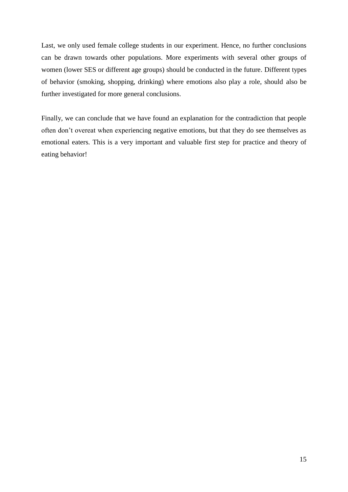Last, we only used female college students in our experiment. Hence, no further conclusions can be drawn towards other populations. More experiments with several other groups of women (lower SES or different age groups) should be conducted in the future. Different types of behavior (smoking, shopping, drinking) where emotions also play a role, should also be further investigated for more general conclusions.

Finally, we can conclude that we have found an explanation for the contradiction that people often don't overeat when experiencing negative emotions, but that they do see themselves as emotional eaters. This is a very important and valuable first step for practice and theory of eating behavior!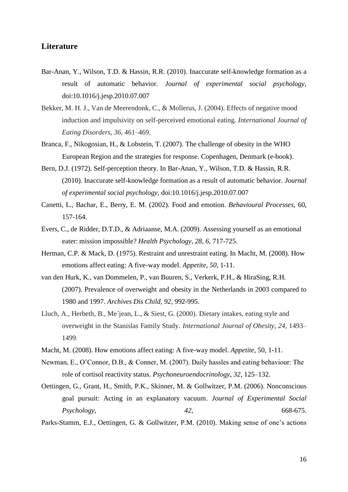# **Literature**

- Bar-Anan, Y., Wilson, T.D. & Hassin, R.R. (2010). Inaccurate self-knowledge formation as a result of automatic behavior. *Journal of experimental social psychology,* doi:10.1016/j.jesp.2010.07.007
- Bekker, M. H. J., Van de Meerendonk, C., & Mollerus, J. (2004). Effects of negative mood induction and impulsivity on self-perceived emotional eating. *International Journal of Eating Disorders, 36,* 461–469.
- Branca, F., Nikogosian, H., & Lobstein, T. (2007). The challenge of obesity in the WHO European Region and the strategies for response. Copenhagen, Denmark (e-book).
- Bern, D.J. (1972). Self-perception theory. In Bar-Anan, Y., Wilson, T.D. & Hassin, R.R. (2010). Inaccurate self-knowledge formation as a result of automatic behavior. *Journal of experimental social psychology,* doi:10.1016/j.jesp.2010.07.007
- Canetti, L., Bachar, E., Berry, E. M. (2002). Food and emotion. *Behavioural Processes,* 60, 157-164.
- Evers, C., de Ridder, D.T.D., & Adriaanse, M.A. (2009). Assessing yourself as an emotional eater: mission impossible? *Health Psychology, 28, 6,* 717-725.
- Herman, C.P. & Mack, D. (1975). Restraint and unrestraint eating. In Macht, M. (2008). How emotions affect eating: A five-way model. *Appetite*, *50,* 1-11.
- van den Hurk, K., van Dommelen, P., van Buuren, S., Verkerk, P.H., & HiraSing, R.H. (2007). Prevalence of overweight and obesity in the Netherlands in 2003 compared to 1980 and 1997. *Archives Dis Child, 92*, 992-995.
- Lluch, A., Herbeth, B., Me´jean, L., & Siest, G. (2000). Dietary intakes, eating style and overweight in the Stanislas Family Study. *International Journal of Obesity, 24,* 1493– 1499.
- Macht, M. (2008). How emotions affect eating: A five-way model. *Appetite,* 50, 1-11.
- Newman, E., O'Connor, D.B., & Conner, M. (2007). Daily hassles and eating behaviour: The role of cortisol reactivity status. *Psychoneuroendocrinology, 32*, 125–132.
- Oettingen, G., Grant, H., Smith, P.K., Skinner, M. & Gollwitzer, P.M. (2006). Nonconscious goal pursuit: Acting in an explanatory vacuum. *Journal of Experimental Social Psychology, 42,* 668-675.

Parks-Stamm, E.J., Oettingen, G. & Gollwitzer, P.M. (2010). Making sense of one's actions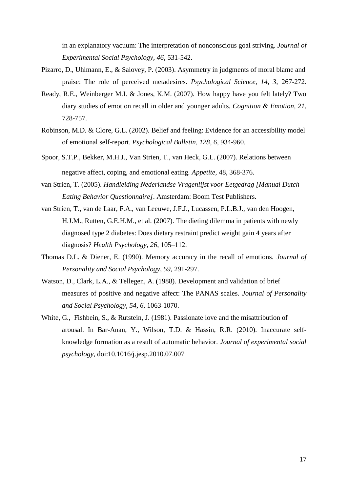in an explanatory vacuum: The interpretation of nonconscious goal striving. *Journal of Experimental Social Psychology, 46*, 531-542.

- Pizarro, D., Uhlmann, E., & Salovey, P. (2003). Asymmetry in judgments of moral blame and praise: The role of perceived metadesires. *Psychological Science, 14, 3,* 267-272.
- Ready, R.E., Weinberger M.I. & Jones, K.M. (2007). How happy have you felt lately? Two diary studies of emotion recall in older and younger adults*. Cognition & Emotion, 21*, 728-757.
- Robinson, M.D. & Clore, G.L. (2002). Belief and feeling: Evidence for an accessibility model of emotional self-report. *Psychological Bulletin, 128*, *6,* 934-960.
- Spoor, S.T.P., Bekker, M.H.J., Van Strien, T., van Heck, G.L. (2007). Relations between negative affect, coping, and emotional eating. *Appetite,* 48, 368-376.
- van Strien, T. (2005). *Handleiding Nederlandse Vragenlijst voor Eetgedrag [Manual Dutch Eating Behavior Questionnaire]*. Amsterdam: Boom Test Publishers.
- van Strien, T., van de Laar, F.A., van Leeuwe, J.F.J., Lucassen, P.L.B.J., van den Hoogen, H.J.M., Rutten, G.E.H.M., et al. (2007). The dieting dilemma in patients with newly diagnosed type 2 diabetes: Does dietary restraint predict weight gain 4 years after diagnosis? *Health Psychology, 26*, 105–112.
- Thomas D.L. & Diener, E. (1990). Memory accuracy in the recall of emotions. *Journal of Personality and Social Psychology, 59*, 291-297.
- Watson, D., Clark, L.A., & Tellegen, A. (1988). Development and validation of brief measures of positive and negative affect: The PANAS scales. *Journal of Personality and Social Psychology, 54, 6,* 1063-1070.
- White, G., Fishbein, S., & Rutstein, J. (1981). Passionate love and the misattribution of arousal. In Bar-Anan, Y., Wilson, T.D. & Hassin, R.R. (2010). Inaccurate selfknowledge formation as a result of automatic behavior. *Journal of experimental social psychology,* doi:10.1016/j.jesp.2010.07.007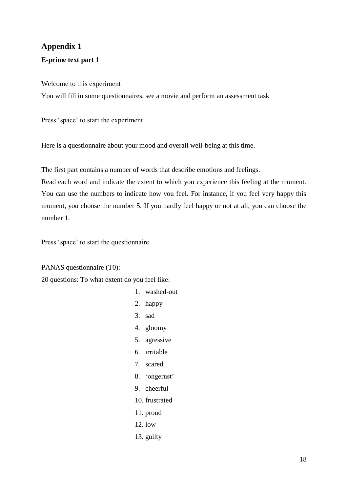# **Appendix 1**

# **E-prime text part 1**

# Welcome to this experiment

You will fill in some questionnaires, see a movie and perform an assessment task

Press 'space' to start the experiment

Here is a questionnaire about your mood and overall well-being at this time.

The first part contains a number of words that describe emotions and feelings.

Read each word and indicate the extent to which you experience this feeling at the moment. You can use the numbers to indicate how you feel. For instance, if you feel very happy this moment, you choose the number 5. If you hardly feel happy or not at all, you can choose the number 1.

Press 'space' to start the questionnaire.

PANAS questionnaire (T0):

20 questions: To what extent do you feel like:

1. washed-out 2. happy 3. sad 4. gloomy 5. agressive 6. irritable 7. scared 8. 'ongerust' 9. cheerful 10. frustrated 11. proud 12. low 13. guilty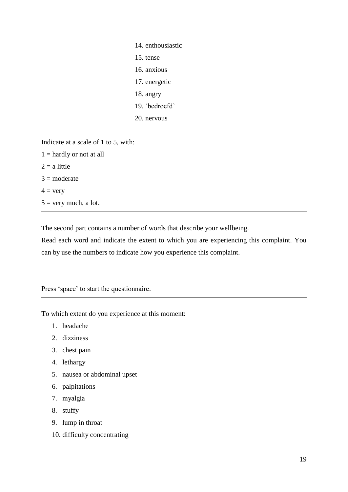| 14. enthousiastic |
|-------------------|
| 15. tense         |
| 16. anxious       |
| 17. energetic     |
| 18. angry         |
| 19. 'bedroefd'    |
| 20. nervous       |
|                   |

Indicate at a scale of 1 to 5, with:

 $1 =$  hardly or not at all  $2 = a$  little  $3 =$  moderate  $4 = \text{very}$  $5 =$  very much, a lot.

The second part contains a number of words that describe your wellbeing.

Read each word and indicate the extent to which you are experiencing this complaint. You can by use the numbers to indicate how you experience this complaint.

Press 'space' to start the questionnaire.

To which extent do you experience at this moment:

- 1. headache
- 2. dizziness
- 3. chest pain
- 4. lethargy
- 5. nausea or abdominal upset
- 6. palpitations
- 7. myalgia
- 8. stuffy
- 9. lump in throat
- 10. difficulty concentrating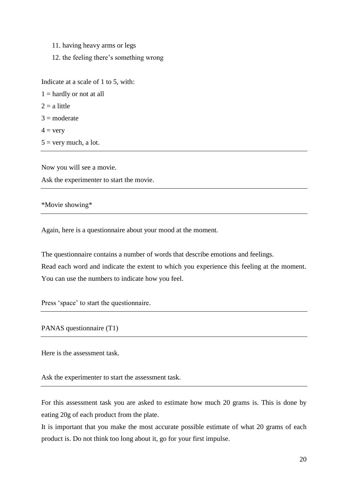11. having heavy arms or legs

12. the feeling there's something wrong

Indicate at a scale of 1 to 5, with:

 $1 =$  hardly or not at all  $2 = a$  little  $3 =$ moderate  $4 = \text{very}$  $5 =$  very much, a lot.

Now you will see a movie. Ask the experimenter to start the movie.

\*Movie showing\*

Again, here is a questionnaire about your mood at the moment.

The questionnaire contains a number of words that describe emotions and feelings. Read each word and indicate the extent to which you experience this feeling at the moment. You can use the numbers to indicate how you feel.

Press 'space' to start the questionnaire.

PANAS questionnaire (T1)

Here is the assessment task.

Ask the experimenter to start the assessment task.

For this assessment task you are asked to estimate how much 20 grams is. This is done by eating 20g of each product from the plate.

It is important that you make the most accurate possible estimate of what 20 grams of each product is. Do not think too long about it, go for your first impulse.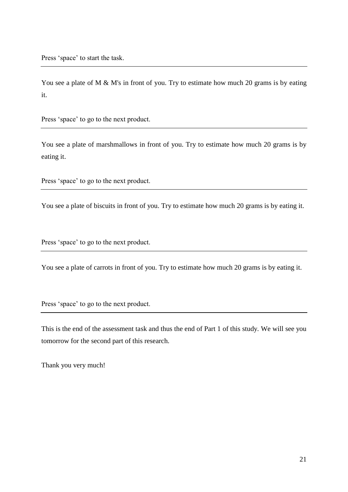Press 'space' to start the task.

You see a plate of M & M's in front of you. Try to estimate how much 20 grams is by eating it.

Press 'space' to go to the next product.

You see a plate of marshmallows in front of you. Try to estimate how much 20 grams is by eating it.

Press 'space' to go to the next product.

You see a plate of biscuits in front of you. Try to estimate how much 20 grams is by eating it.

Press 'space' to go to the next product.

You see a plate of carrots in front of you. Try to estimate how much 20 grams is by eating it.

Press 'space' to go to the next product.

This is the end of the assessment task and thus the end of Part 1 of this study. We will see you tomorrow for the second part of this research.

Thank you very much!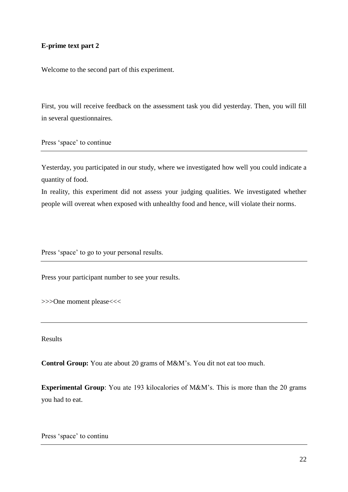# **E-prime text part 2**

Welcome to the second part of this experiment.

First, you will receive feedback on the assessment task you did yesterday. Then, you will fill in several questionnaires.

Press 'space' to continue

Yesterday, you participated in our study, where we investigated how well you could indicate a quantity of food.

In reality, this experiment did not assess your judging qualities. We investigated whether people will overeat when exposed with unhealthy food and hence, will violate their norms.

Press 'space' to go to your personal results.

Press your participant number to see your results.

>>>One moment please<<<

Results

**Control Group:** You ate about 20 grams of M&M's. You dit not eat too much.

**Experimental Group**: You ate 193 kilocalories of M&M's. This is more than the 20 grams you had to eat.

Press 'space' to continu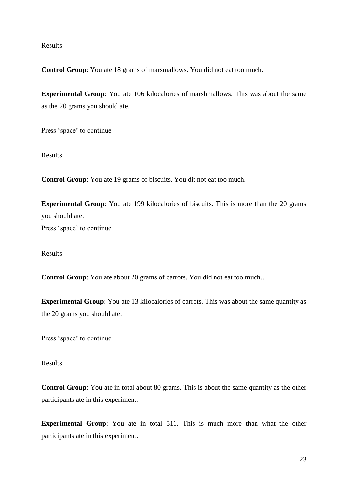Results

**Control Group**: You ate 18 grams of marsmallows. You did not eat too much.

**Experimental Group**: You ate 106 kilocalories of marshmallows. This was about the same as the 20 grams you should ate.

Press 'space' to continue

Results

**Control Group**: You ate 19 grams of biscuits. You dit not eat too much.

**Experimental Group**: You ate 199 kilocalories of biscuits. This is more than the 20 grams you should ate.

Press 'space' to continue

Results

**Control Group**: You ate about 20 grams of carrots. You did not eat too much..

**Experimental Group**: You ate 13 kilocalories of carrots. This was about the same quantity as the 20 grams you should ate.

Press 'space' to continue

Results

**Control Group**: You ate in total about 80 grams. This is about the same quantity as the other participants ate in this experiment.

**Experimental Group**: You ate in total 511. This is much more than what the other participants ate in this experiment.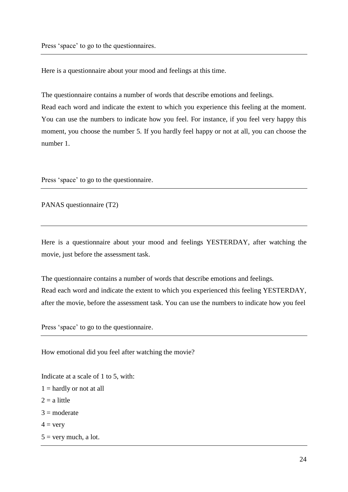Press 'space' to go to the questionnaires.

Here is a questionnaire about your mood and feelings at this time.

The questionnaire contains a number of words that describe emotions and feelings.

Read each word and indicate the extent to which you experience this feeling at the moment. You can use the numbers to indicate how you feel. For instance, if you feel very happy this moment, you choose the number 5. If you hardly feel happy or not at all, you can choose the number 1.

Press 'space' to go to the questionnaire.

PANAS questionnaire (T2)

Here is a questionnaire about your mood and feelings YESTERDAY, after watching the movie, just before the assessment task.

The questionnaire contains a number of words that describe emotions and feelings. Read each word and indicate the extent to which you experienced this feeling YESTERDAY, after the movie, before the assessment task. You can use the numbers to indicate how you feel

Press 'space' to go to the questionnaire.

How emotional did you feel after watching the movie?

Indicate at a scale of 1 to 5, with:  $1 =$  hardly or not at all  $2 = a$  little  $3 =$ moderate  $4 = \text{very}$  $5 =$  very much, a lot.